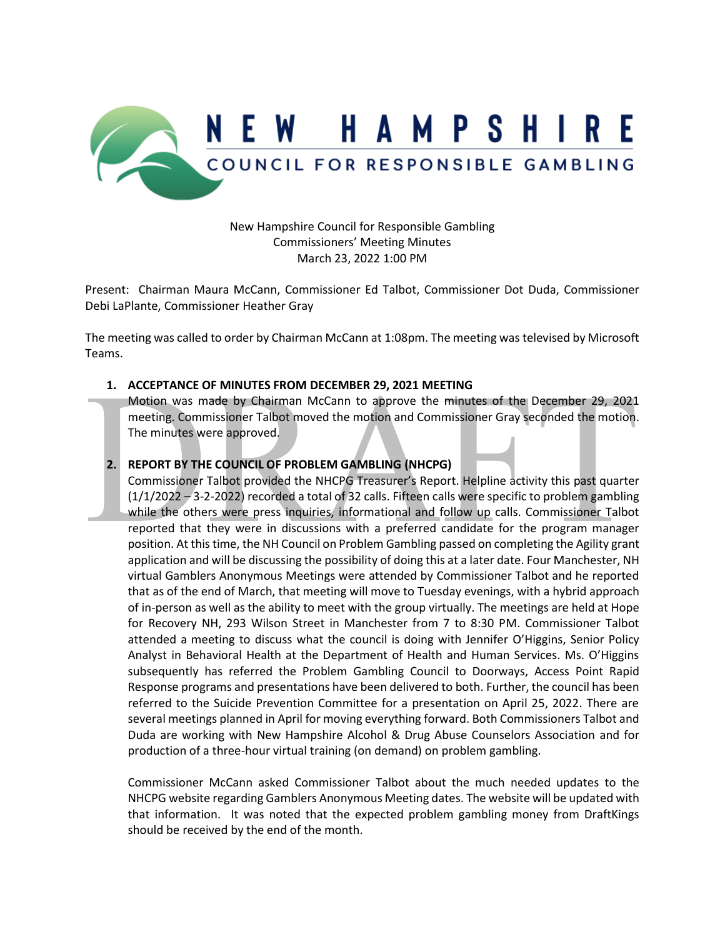

New Hampshire Council for Responsible Gambling Commissioners' Meeting Minutes March 23, 2022 1:00 PM

Present: Chairman Maura McCann, Commissioner Ed Talbot, Commissioner Dot Duda, Commissioner Debi LaPlante, Commissioner Heather Gray

The meeting was called to order by Chairman McCann at 1:08pm. The meeting was televised by Microsoft Teams.

## **1. ACCEPTANCE OF MINUTES FROM DECEMBER 29, 2021 MEETING**

Motion was made by Chairman McCann to approve the minutes of the December 29, 2021 meeting. Commissioner Talbot moved the motion and Commissioner Gray seconded the motion. The minutes were approved.

## **2. REPORT BY THE COUNCIL OF PROBLEM GAMBLING (NHCPG)**

Commissioner Talbot provided the NHCPG Treasurer's Report. Helpline activity this past quarter (1/1/2022 – 3-2-2022) recorded a total of 32 calls. Fifteen calls were specific to problem gambling while the others were press inquiries, informational and follow up calls. Commissioner Talbot reported that they were in discussions with a preferred candidate for the program manager position. At this time, the NH Council on Problem Gambling passed on completing the Agility grant application and will be discussing the possibility of doing this at a later date. Four Manchester, NH virtual Gamblers Anonymous Meetings were attended by Commissioner Talbot and he reported that as of the end of March, that meeting will move to Tuesday evenings, with a hybrid approach of in-person as well as the ability to meet with the group virtually. The meetings are held at Hope for Recovery NH, 293 Wilson Street in Manchester from 7 to 8:30 PM. Commissioner Talbot attended a meeting to discuss what the council is doing with Jennifer O'Higgins, Senior Policy Analyst in Behavioral Health at the Department of Health and Human Services. Ms. O'Higgins subsequently has referred the Problem Gambling Council to Doorways, Access Point Rapid Response programs and presentations have been delivered to both. Further, the council has been referred to the Suicide Prevention Committee for a presentation on April 25, 2022. There are several meetings planned in April for moving everything forward. Both Commissioners Talbot and Duda are working with New Hampshire Alcohol & Drug Abuse Counselors Association and for production of a three-hour virtual training (on demand) on problem gambling.

Commissioner McCann asked Commissioner Talbot about the much needed updates to the NHCPG website regarding Gamblers Anonymous Meeting dates. The website will be updated with that information. It was noted that the expected problem gambling money from DraftKings should be received by the end of the month.